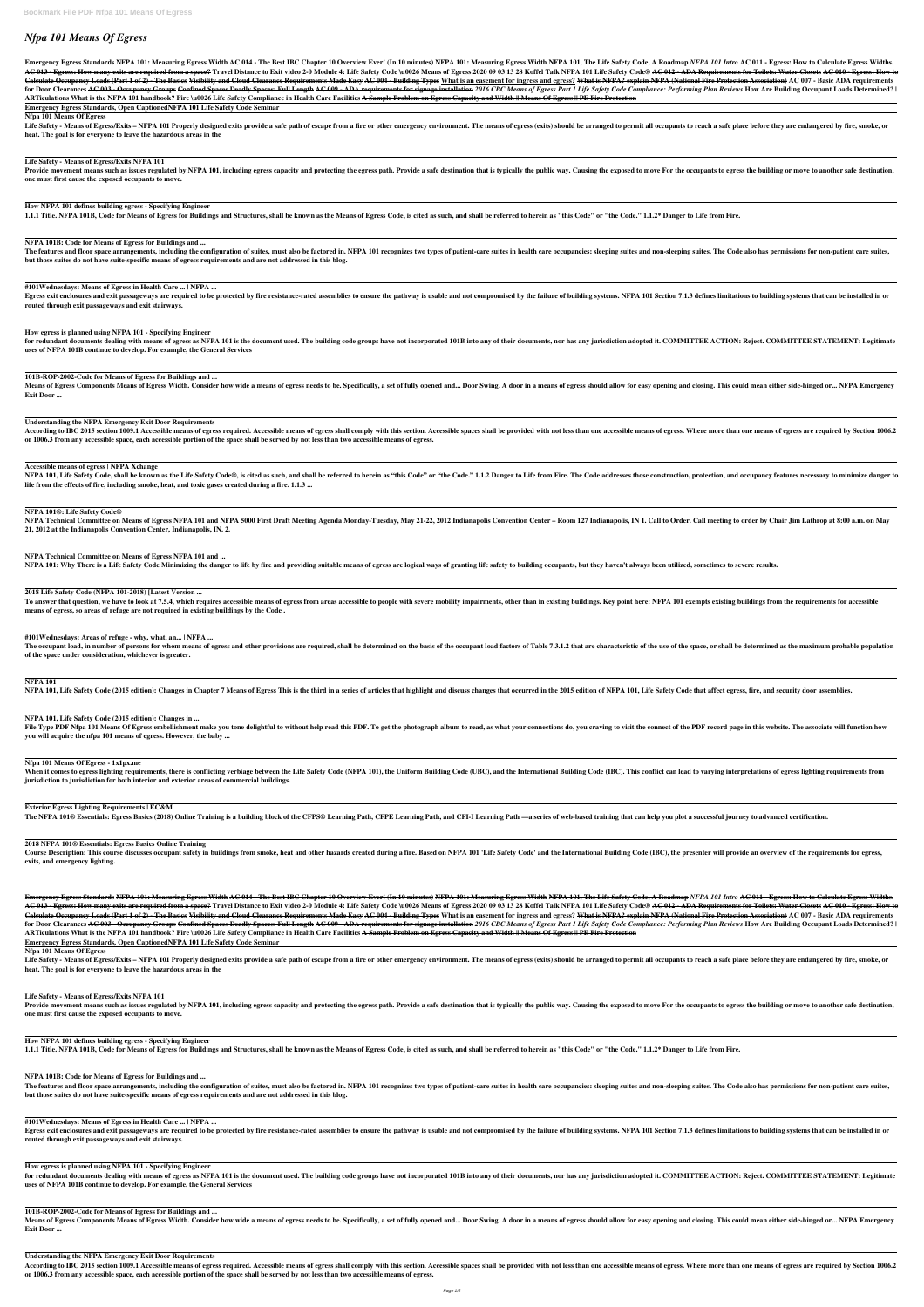# *Nfpa 101 Means Of Egress*

Emergency Egress Standards NFPA 101: Measuring Egress Width AC 014 - The Best IBC Chapter 10 Overview Ever! (In 10 minutes) NFPA 101: Measuring Egress Width NFPA 101, The Life Safety Code, A Roadmap NFPA 101 Intro AC 011 -AC 013 - Egress: How many exits are required from a space? Travel Distance to Exit video 2-0 Module 4: Life Safety Code \u0026 Means of Egress 2020 09 03 13 28 Koffel Talk NFPA 101 Life Safety Code® AC 012 - ADA Requiremen Calculate Occupancy Loads (Part 1 of 2) - The Basics Visibility and Cloud Clearance Requirements Made Easy AC 004 - Building Types What is an easement for ingress and egress? What is NFPA? explain NFPA (National Fire Prote for Door Clearances <del>AC 003 - Occupancy Groups Confined Spaces Deadly Spaces: Full Length AC 009 - ADA requirements for signage installation 2016 CBC Means of Egress Part 1 Life Safety Code Compliance: Performing Plan Revi</del> **ARTiculations What is the NFPA 101 handbook? Fire \u0026 Life Safety Compliance in Health Care Facilities A Sample Problem on Egress Capacity and Width || Means Of Egress || PE Fire Protection**

Life Safety - Means of Egress/Exits – NFPA 101 Properly designed exits provide a safe path of escape from a fire or other emergency environment. The means of egress (exits) should be arranged to permit all occupants to rea **heat. The goal is for everyone to leave the hazardous areas in the**

Provide movement means such as issues regulated by NFPA 101, including egress capacity and protecting the egress path. Provide a safe destination that is typically the public way. Causing the exposed to move For the occupa **one must first cause the exposed occupants to move.**

**Emergency Egress Standards, Open CaptionedNFPA 101 Life Safety Code Seminar**

#### **Nfpa 101 Means Of Egress**

The features and floor space arrangements, including the configuration of suites, must also be factored in. NFPA 101 recognizes two types of patient-care suites in health care occupancies: sleeping suites and non-sleeping **but those suites do not have suite-specific means of egress requirements and are not addressed in this blog.**

Egress exit enclosures and exit passageways are required to be protected by fire resistance-rated assemblies to ensure the pathway is usable and not compromised by the failure of building systems. NFPA 101 Section 7.1.3 de **routed through exit passageways and exit stairways.**

#### **Life Safety - Means of Egress/Exits NFPA 101**

for redundant documents dealing with means of egress as NFPA 101 is the document used. The building code groups have not incorporated 101B into any of their documents, nor has any jurisdiction adopted it. COMMITTEE ACTION: **uses of NFPA 101B continue to develop. For example, the General Services**

Means of Egress Components Means of Egress Width. Consider how wide a means of egress needs to be. Specifically, a set of fully opened and... Door Swing. A door in a means of egress should allow for easy opening and closin **Exit Door ...**

**How NFPA 101 defines building egress - Specifying Engineer**

1.1.1 Title. NFPA 101B, Code for Means of Egress for Buildings and Structures, shall be known as the Means of Egress Code, is cited as such, and shall be referred to herein as "this Code" or "the Code." 1.1.2\* Danger to Li

According to IBC 2015 section 1009.1 Accessible means of egress required. Accessible means of egress shall comply with this section. Accessible spaces shall be provided with not less than one accessible means of egress. Wh **or 1006.3 from any accessible space, each accessible portion of the space shall be served by not less than two accessible means of egress.**

NFPA 101, Life Safety Code, shall be known as the Life Safety Code®, is cited as such, and shall be referred to herein as "this Code" or "the Code." 1.1.2 Danger to Life from Fire. The Code addresses those construction, pr **life from the effects of fire, including smoke, heat, and toxic gases created during a fire. 1.1.3 ...**

#### **NFPA 101B: Code for Means of Egress for Buildings and ...**

NFPA Technical Committee on Means of Egress NFPA 101 and NFPA 5000 First Draft Meeting Agenda Monday-Tuesday, May 21-22, 2012 Indianapolis Convention Center – Room 127 Indianapolis, IN 1. Call to Order. Call meeting to ord **21, 2012 at the Indianapolis Convention Center, Indianapolis, IN. 2.**

**#101Wednesdays: Means of Egress in Health Care ... | NFPA ...**

To answer that question, we have to look at 7.5.4, which requires accessible means of egress from areas accessible to people with severe mobility impairments, other than in existing buildings. Key point here: NFPA 101 exem **means of egress, so areas of refuge are not required in existing buildings by the Code .**

The occupant load, in number of persons for whom means of egress and other provisions are required, shall be determined on the basis of the occupant load factors of Table 7.3.1.2 that are characteristic of the use of the s **of the space under consideration, whichever is greater.**

**How egress is planned using NFPA 101 - Specifying Engineer**

File Type PDF Nfpa 101 Means Of Egress embellishment make you tone delightful to without help read this PDF. To get the photograph album to read, as what your connections do, you craving to visit the connect of the PDF rec **you will acquire the nfpa 101 means of egress. However, the baby ...**

**101B-ROP-2002-Code for Means of Egress for Buildings and ...**

When it comes to egress lighting requirements, there is conflicting verbiage between the Life Safety Code (NFPA 101), the Uniform Building Code (UBC), and the International Building Code (IBC). This conflict can lead to va **jurisdiction to jurisdiction for both interior and exterior areas of commercial buildings.**

**Understanding the NFPA Emergency Exit Door Requirements**

Course Description: This course discusses occupant safety in buildings from smoke, heat and other hazards created during a fire. Based on NFPA 101 'Life Safety Code' and the International Building Code (IBC), the presenter **exits, and emergency lighting.**

**Accessible means of egress | NFPA Xchange**

Emergency Egress Standards NFPA 101: Measuring Egress Width AC 014 - The Best IBC Chapter 10 Overview Ever! (In 10 minutes) NFPA 101: Measuring Egress Width NFPA 101, The Life Safety Code, A Roadmap NFPA 101 Intro AC 011 -AC 013 - Egress: How many exits are required from a space? Travel Distance to Exit video 2-0 Module 4: Life Safety Code \u0026 Means of Egress 2020 09 03 13 28 Koffel Talk NFPA 101 Life Safety Code® AC 012 - ADA Requiremen Calculate Occupancy Loads (Part 1 of 2) - The Basics Visibility and Cloud Clearance Requirements Made Easy AC 004 - Building Types What is an easement for ingress and egress? What is NFPA? explain NFPA (National Fire Prote for Door Clearances <del>AC 003 - Occupancy Groups Confined Spaces Deadly Spaces: Full Length AC 009 - ADA requirements for signage installation 2016 CBC Means of Egress Part 1 Life Safety Code Compliance: Performing Plan Revi</del> **ARTiculations What is the NFPA 101 handbook? Fire \u0026 Life Safety Compliance in Health Care Facilities A Sample Problem on Egress Capacity and Width || Means Of Egress || PE Fire Protection**

Life Safety - Means of Egress/Exits – NFPA 101 Properly designed exits provide a safe path of escape from a fire or other emergency environment. The means of egress (exits) should be arranged to permit all occupants to rea **heat. The goal is for everyone to leave the hazardous areas in the**

#### **NFPA 101®: Life Safety Code®**

Provide movement means such as issues regulated by NFPA 101, including egress capacity and protecting the egress path. Provide a safe destination that is typically the public way. Causing the exposed to move For the occupa **one must first cause the exposed occupants to move.**

# **NFPA Technical Committee on Means of Egress NFPA 101 and ...**

NFPA 101: Why There is a Life Safety Code Minimizing the danger to life by fire and providing suitable means of egress are logical ways of granting life safety to building occupants, but they haven't always been utilized,

# **2018 Life Safety Code (NFPA 101-2018) [Latest Version ...**

Egress exit enclosures and exit passageways are required to be protected by fire resistance-rated assemblies to ensure the pathway is usable and not compromised by the failure of building systems. NFPA 101 Section 7.1.3 de **routed through exit passageways and exit stairways.**

# **#101Wednesdays: Areas of refuge - why, what, an... | NFPA ...**

Means of Egress Components Means of Egress Width. Consider how wide a means of egress needs to be. Specifically, a set of fully opened and... Door Swing. A door in a means of egress should allow for easy opening and closin **Exit Door ...**

According to IBC 2015 section 1009.1 Accessible means of egress required. Accessible means of egress shall comply with this section. Accessible spaces shall be provided with not less than one accessible means of egress. Wh **or 1006.3 from any accessible space, each accessible portion of the space shall be served by not less than two accessible means of egress.**

## **NFPA 101**

NFPA 101, Life Safety Code (2015 edition): Changes in Chapter 7 Means of Egress This is the third in a series of articles that highlight and discuss changes that occurred in the 2015 edition of NFPA 101, Life Safety Code t

## **NFPA 101, Life Safety Code (2015 edition): Changes in ...**

#### **Nfpa 101 Means Of Egress - 1x1px.me**

#### **Exterior Egress Lighting Requirements | EC&M**

The NFPA 101® Essentials: Egress Basics (2018) Online Training is a building block of the CFPS® Learning Path, CFPE Learning Path, and CFI-I Learning Path —a series of web-based training that can help you plot a successful

## **2018 NFPA 101® Essentials: Egress Basics Online Training**

**Emergency Egress Standards, Open CaptionedNFPA 101 Life Safety Code Seminar**

#### **Nfpa 101 Means Of Egress**

## **Life Safety - Means of Egress/Exits NFPA 101**

## **How NFPA 101 defines building egress - Specifying Engineer**

1.1.1 Title. NFPA 101B, Code for Means of Egress for Buildings and Structures, shall be known as the Means of Egress Code, is cited as such, and shall be referred to herein as "this Code" or "the Code." 1.1.2\* Danger to Li

**NFPA 101B: Code for Means of Egress for Buildings and ...** The features and floor space arrangements, including the configuration of suites, must also be factored in. NFPA 101 recognizes two types of patient-care suites in health care occupancies: sleeping suites and non-sleeping **but those suites do not have suite-specific means of egress requirements and are not addressed in this blog.**

**#101Wednesdays: Means of Egress in Health Care ... | NFPA ...**

**How egress is planned using NFPA 101 - Specifying Engineer** for redundant documents dealing with means of egress as NFPA 101 is the document used. The building code groups have not incorporated 101B into any of their documents, nor has any jurisdiction adopted it. COMMITTEE ACTION: **uses of NFPA 101B continue to develop. For example, the General Services**

**101B-ROP-2002-Code for Means of Egress for Buildings and ...**

**Understanding the NFPA Emergency Exit Door Requirements**